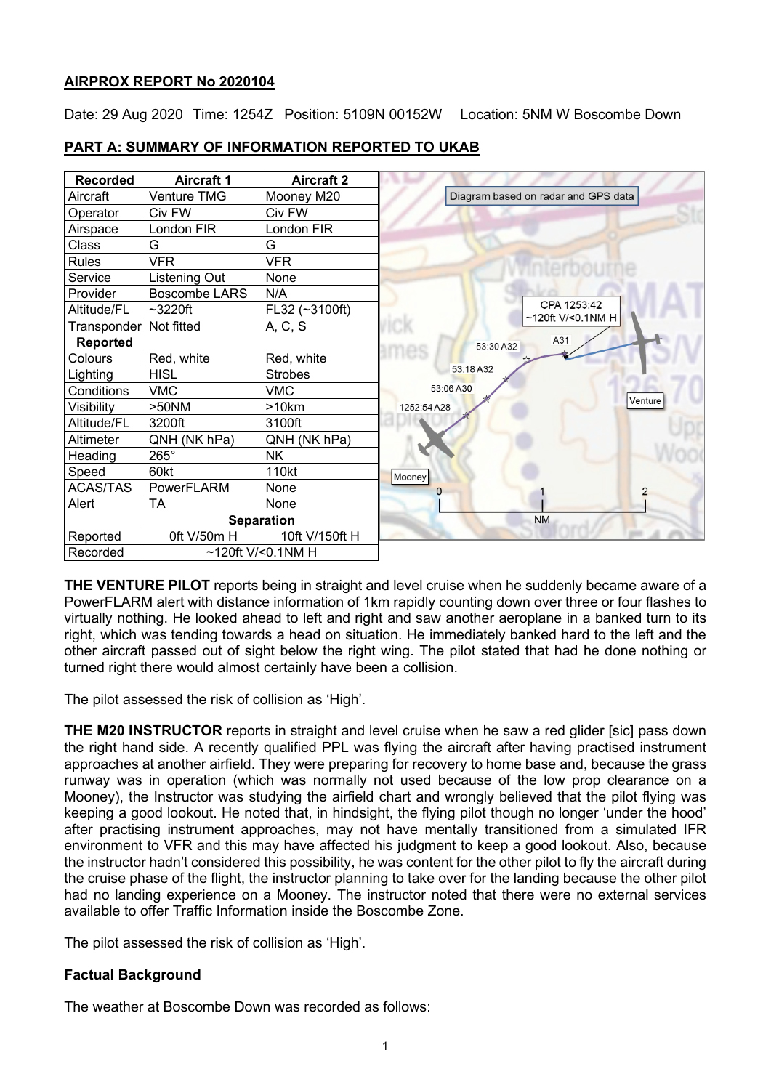## **AIRPROX REPORT No 2020104**

Date: 29 Aug 2020 Time: 1254Z Position: 5109N 00152W Location: 5NM W Boscombe Down

| <b>Recorded</b> | <b>Aircraft 1</b>    | <b>Aircraft 2</b> |                                     |
|-----------------|----------------------|-------------------|-------------------------------------|
| Aircraft        | Venture TMG          | Mooney M20        | Diagram based on radar and GPS data |
| Operator        | Civ FW               | Civ FW            |                                     |
| Airspace        | London FIR           | London FIR        |                                     |
| Class           | G                    | G                 |                                     |
| <b>Rules</b>    | <b>VFR</b>           | <b>VFR</b>        | <u>nterpourne</u>                   |
| Service         | Listening Out        | None              |                                     |
| Provider        | <b>Boscombe LARS</b> | N/A               |                                     |
| Altitude/FL     | $~1$ -3220ft         | FL32 (~3100ft)    | CPA 1253:42<br>~120ft V/<0.1NM H    |
| Transponder     | Not fitted           | A, C, S           | ick                                 |
| <b>Reported</b> |                      |                   | A31<br>53:30 A32                    |
| Colours         | Red, white           | Red, white        |                                     |
| Lighting        | <b>HISL</b>          | <b>Strobes</b>    | 53:18 A32                           |
| Conditions      | <b>VMC</b>           | <b>VMC</b>        | 53:06 A30                           |
| Visibility      | $>50$ NM             | >10km             | Venture<br>1252:54 A28              |
| Altitude/FL     | 3200ft               | 3100ft            |                                     |
| Altimeter       | QNH (NK hPa)         | QNH (NK hPa)      |                                     |
| Heading         | $265^\circ$          | NΚ                |                                     |
| Speed           | 60kt                 | 110kt             | Mooney                              |
| <b>ACAS/TAS</b> | PowerFLARM           | None              |                                     |
| Alert           | <b>TA</b>            | None              |                                     |
|                 |                      | <b>Separation</b> | <b>NM</b>                           |
| Reported        | 0ft V/50m H          | 10ft V/150ft H    |                                     |
| Recorded        | $~120$ ft V/<0.1NM H |                   |                                     |

# **PART A: SUMMARY OF INFORMATION REPORTED TO UKAB**

**THE VENTURE PILOT** reports being in straight and level cruise when he suddenly became aware of a PowerFLARM alert with distance information of 1km rapidly counting down over three or four flashes to virtually nothing. He looked ahead to left and right and saw another aeroplane in a banked turn to its right, which was tending towards a head on situation. He immediately banked hard to the left and the other aircraft passed out of sight below the right wing. The pilot stated that had he done nothing or turned right there would almost certainly have been a collision.

The pilot assessed the risk of collision as 'High'.

**THE M20 INSTRUCTOR** reports in straight and level cruise when he saw a red glider [sic] pass down the right hand side. A recently qualified PPL was flying the aircraft after having practised instrument approaches at another airfield. They were preparing for recovery to home base and, because the grass runway was in operation (which was normally not used because of the low prop clearance on a Mooney), the Instructor was studying the airfield chart and wrongly believed that the pilot flying was keeping a good lookout. He noted that, in hindsight, the flying pilot though no longer 'under the hood' after practising instrument approaches, may not have mentally transitioned from a simulated IFR environment to VFR and this may have affected his judgment to keep a good lookout. Also, because the instructor hadn't considered this possibility, he was content for the other pilot to fly the aircraft during the cruise phase of the flight, the instructor planning to take over for the landing because the other pilot had no landing experience on a Mooney. The instructor noted that there were no external services available to offer Traffic Information inside the Boscombe Zone.

The pilot assessed the risk of collision as 'High'.

# **Factual Background**

The weather at Boscombe Down was recorded as follows: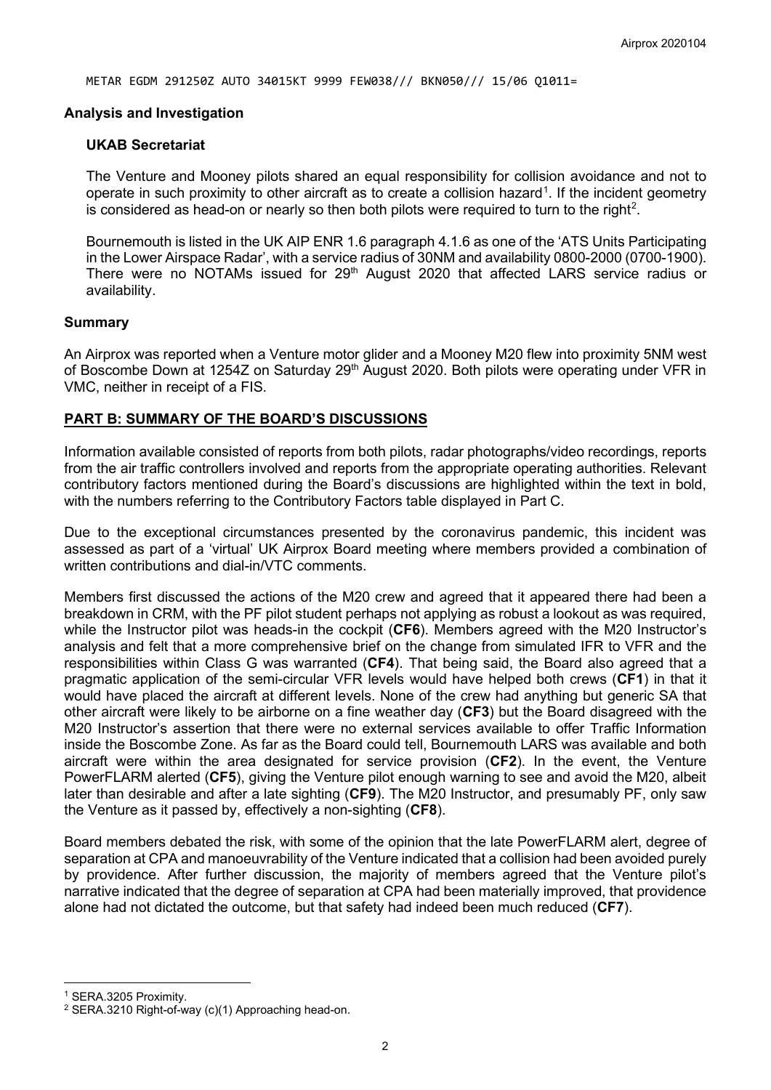METAR EGDM 291250Z AUTO 34015KT 9999 FEW038/// BKN050/// 15/06 Q1011=

#### **Analysis and Investigation**

#### **UKAB Secretariat**

The Venture and Mooney pilots shared an equal responsibility for collision avoidance and not to operate in such proximity to other aircraft as to create a collision hazard<sup>[1](#page-1-0)</sup>. If the incident geometry is considered as head-on or nearly so then both pilots were required to turn to the right $^{\rm 2}$  $^{\rm 2}$  $^{\rm 2}$ .

Bournemouth is listed in the UK AIP ENR 1.6 paragraph 4.1.6 as one of the 'ATS Units Participating in the Lower Airspace Radar', with a service radius of 30NM and availability 0800-2000 (0700-1900). There were no NOTAMs issued for 29<sup>th</sup> August 2020 that affected LARS service radius or availability.

#### **Summary**

An Airprox was reported when a Venture motor glider and a Mooney M20 flew into proximity 5NM west of Boscombe Down at 1254Z on Saturday 29<sup>th</sup> August 2020. Both pilots were operating under VFR in VMC, neither in receipt of a FIS.

### **PART B: SUMMARY OF THE BOARD'S DISCUSSIONS**

Information available consisted of reports from both pilots, radar photographs/video recordings, reports from the air traffic controllers involved and reports from the appropriate operating authorities. Relevant contributory factors mentioned during the Board's discussions are highlighted within the text in bold, with the numbers referring to the Contributory Factors table displayed in Part C.

Due to the exceptional circumstances presented by the coronavirus pandemic, this incident was assessed as part of a 'virtual' UK Airprox Board meeting where members provided a combination of written contributions and dial-in/VTC comments.

Members first discussed the actions of the M20 crew and agreed that it appeared there had been a breakdown in CRM, with the PF pilot student perhaps not applying as robust a lookout as was required, while the Instructor pilot was heads-in the cockpit (**CF6**). Members agreed with the M20 Instructor's analysis and felt that a more comprehensive brief on the change from simulated IFR to VFR and the responsibilities within Class G was warranted (**CF4**). That being said, the Board also agreed that a pragmatic application of the semi-circular VFR levels would have helped both crews (**CF1**) in that it would have placed the aircraft at different levels. None of the crew had anything but generic SA that other aircraft were likely to be airborne on a fine weather day (**CF3**) but the Board disagreed with the M20 Instructor's assertion that there were no external services available to offer Traffic Information inside the Boscombe Zone. As far as the Board could tell, Bournemouth LARS was available and both aircraft were within the area designated for service provision (**CF2**). In the event, the Venture PowerFLARM alerted (**CF5**), giving the Venture pilot enough warning to see and avoid the M20, albeit later than desirable and after a late sighting (**CF9**). The M20 Instructor, and presumably PF, only saw the Venture as it passed by, effectively a non-sighting (**CF8**).

Board members debated the risk, with some of the opinion that the late PowerFLARM alert, degree of separation at CPA and manoeuvrability of the Venture indicated that a collision had been avoided purely by providence. After further discussion, the majority of members agreed that the Venture pilot's narrative indicated that the degree of separation at CPA had been materially improved, that providence alone had not dictated the outcome, but that safety had indeed been much reduced (**CF7**).

<span id="page-1-0"></span><sup>1</sup> SERA.3205 Proximity.

<span id="page-1-1"></span><sup>2</sup> SERA.3210 Right-of-way (c)(1) Approaching head-on.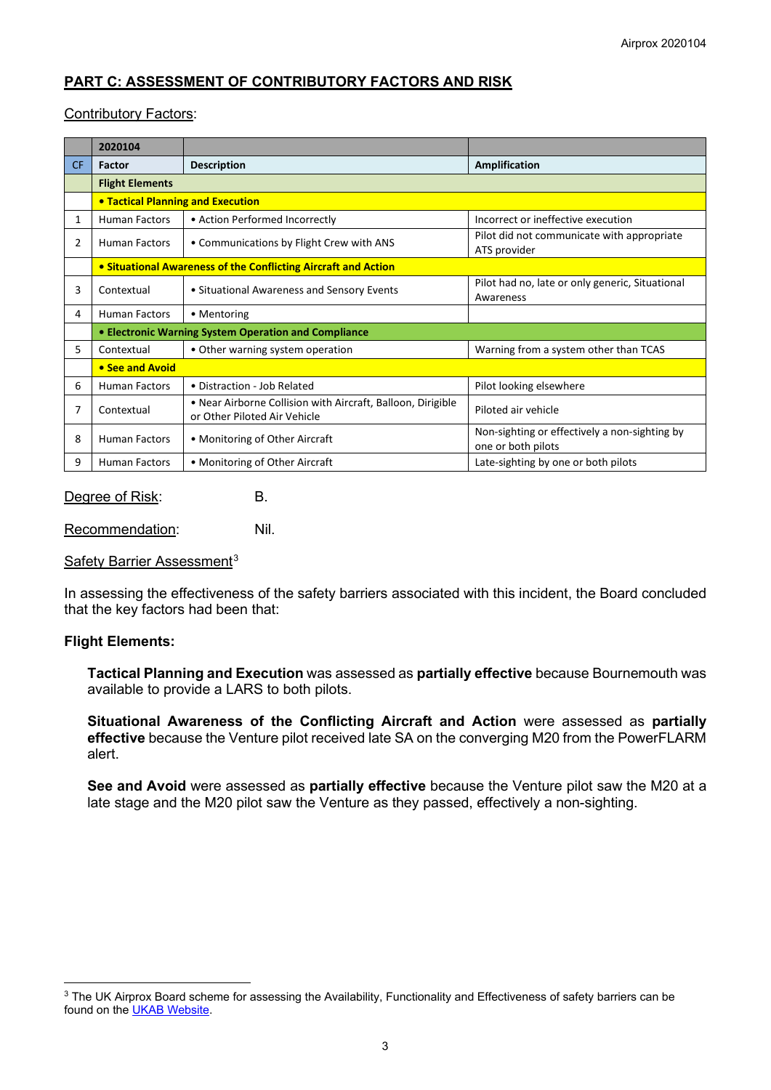# **PART C: ASSESSMENT OF CONTRIBUTORY FACTORS AND RISK**

### Contributory Factors:

|           | 2020104                                                        |                                                                                             |                                                                     |  |  |  |
|-----------|----------------------------------------------------------------|---------------------------------------------------------------------------------------------|---------------------------------------------------------------------|--|--|--|
| <b>CF</b> | Factor                                                         | <b>Description</b>                                                                          | Amplification                                                       |  |  |  |
|           | <b>Flight Elements</b>                                         |                                                                                             |                                                                     |  |  |  |
|           | • Tactical Planning and Execution                              |                                                                                             |                                                                     |  |  |  |
| 1         | <b>Human Factors</b>                                           | • Action Performed Incorrectly                                                              | Incorrect or ineffective execution                                  |  |  |  |
| 2         | <b>Human Factors</b>                                           | • Communications by Flight Crew with ANS                                                    | Pilot did not communicate with appropriate<br>ATS provider          |  |  |  |
|           | • Situational Awareness of the Conflicting Aircraft and Action |                                                                                             |                                                                     |  |  |  |
| 3         | Contextual                                                     | • Situational Awareness and Sensory Events                                                  | Pilot had no, late or only generic, Situational<br>Awareness        |  |  |  |
| 4         | <b>Human Factors</b>                                           | • Mentoring                                                                                 |                                                                     |  |  |  |
|           | • Electronic Warning System Operation and Compliance           |                                                                                             |                                                                     |  |  |  |
| 5.        | Contextual                                                     | • Other warning system operation                                                            | Warning from a system other than TCAS                               |  |  |  |
|           | • See and Avoid                                                |                                                                                             |                                                                     |  |  |  |
| 6         | <b>Human Factors</b>                                           | • Distraction - Job Related                                                                 | Pilot looking elsewhere                                             |  |  |  |
| 7         | Contextual                                                     | • Near Airborne Collision with Aircraft, Balloon, Dirigible<br>or Other Piloted Air Vehicle | Piloted air vehicle                                                 |  |  |  |
| 8         | <b>Human Factors</b>                                           | • Monitoring of Other Aircraft                                                              | Non-sighting or effectively a non-sighting by<br>one or both pilots |  |  |  |
| 9         | <b>Human Factors</b>                                           | • Monitoring of Other Aircraft                                                              | Late-sighting by one or both pilots                                 |  |  |  |

Degree of Risk: B.

Recommendation: Nil.

### Safety Barrier Assessment<sup>[3](#page-2-0)</sup>

In assessing the effectiveness of the safety barriers associated with this incident, the Board concluded that the key factors had been that:

### **Flight Elements:**

**Tactical Planning and Execution** was assessed as **partially effective** because Bournemouth was available to provide a LARS to both pilots.

**Situational Awareness of the Conflicting Aircraft and Action** were assessed as **partially effective** because the Venture pilot received late SA on the converging M20 from the PowerFLARM alert.

**See and Avoid** were assessed as **partially effective** because the Venture pilot saw the M20 at a late stage and the M20 pilot saw the Venture as they passed, effectively a non-sighting.

<span id="page-2-0"></span><sup>&</sup>lt;sup>3</sup> The UK Airprox Board scheme for assessing the Availability, Functionality and Effectiveness of safety barriers can be found on the **UKAB Website**.